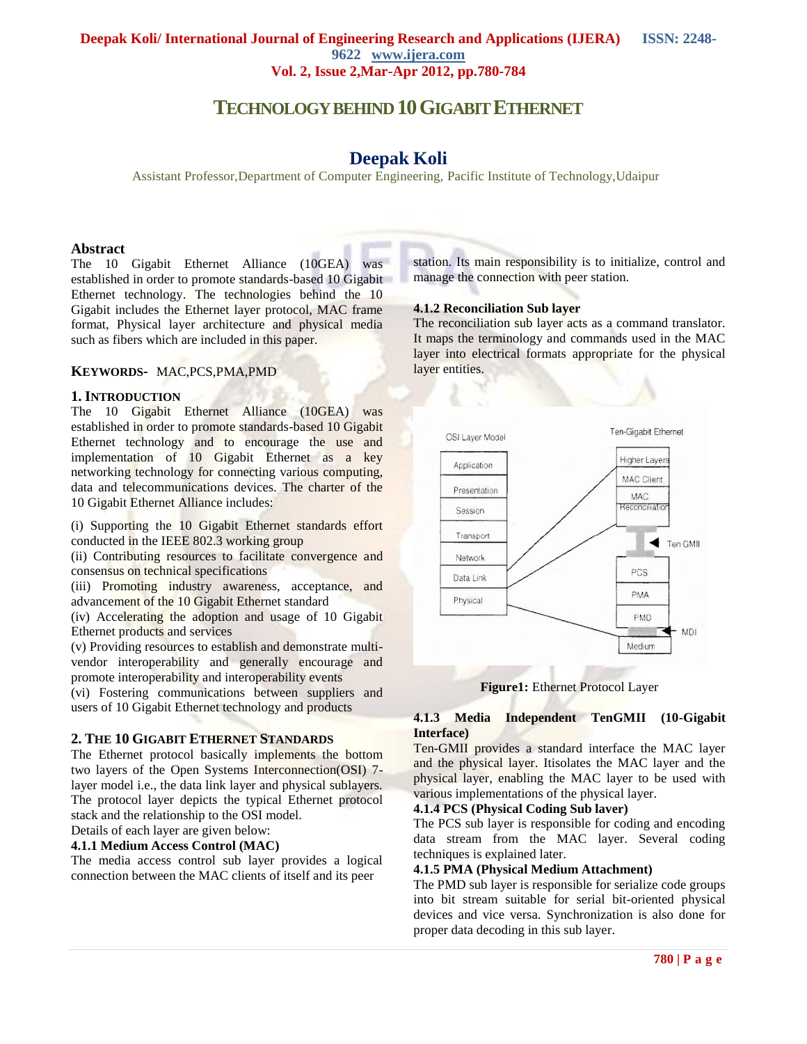# **TECHNOLOGYBEHIND 10GIGABIT ETHERNET**

# **Deepak Koli**

Assistant Professor,Department of Computer Engineering, Pacific Institute of Technology,Udaipur

#### **Abstract**

The 10 Gigabit Ethernet Alliance (10GEA) was established in order to promote standards-based 10 Gigabit Ethernet technology. The technologies behind the 10 Gigabit includes the Ethernet layer protocol, MAC frame format, Physical layer architecture and physical media such as fibers which are included in this paper.

#### **KEYWORDS***-* MAC,PCS,PMA,PMD

#### **1. INTRODUCTION**

The 10 Gigabit Ethernet Alliance (10GEA) was established in order to promote standards-based 10 Gigabit Ethernet technology and to encourage the use and implementation of 10 Gigabit Ethernet as a key networking technology for connecting various computing, data and telecommunications devices. The charter of the 10 Gigabit Ethernet Alliance includes:

(i) Supporting the 10 Gigabit Ethernet standards effort conducted in the IEEE 802.3 working group

(ii) Contributing resources to facilitate convergence and consensus on technical specifications

(iii) Promoting industry awareness, acceptance, and advancement of the 10 Gigabit Ethernet standard

(iv) Accelerating the adoption and usage of 10 Gigabit Ethernet products and services

(v) Providing resources to establish and demonstrate multivendor interoperability and generally encourage and promote interoperability and interoperability events

(vi) Fostering communications between suppliers and users of 10 Gigabit Ethernet technology and products

#### **2. THE 10 GIGABIT ETHERNET STANDARDS**

The Ethernet protocol basically implements the bottom two layers of the Open Systems Interconnection(OSI) 7 layer model i.e., the data link layer and physical sublayers. The protocol layer depicts the typical Ethernet protocol stack and the relationship to the OSI model.

Details of each layer are given below:

# **4.1.1 Medium Access Control (MAC)**

The media access control sub layer provides a logical connection between the MAC clients of itself and its peer

station. Its main responsibility is to initialize, control and manage the connection with peer station.

#### **4.1.2 Reconciliation Sub layer**

The reconciliation sub layer acts as a command translator. It maps the terminology and commands used in the MAC layer into electrical formats appropriate for the physical layer entities.



**Figure1:** Ethernet Protocol Layer

### **4.1.3 Media Independent TenGMII (10-Gigabit Interface)**

Ten-GMII provides a standard interface the MAC layer and the physical layer. Itisolates the MAC layer and the physical layer, enabling the MAC layer to be used with various implementations of the physical layer.

## **4.1.4 PCS (Physical Coding Sub laver)**

The PCS sub layer is responsible for coding and encoding data stream from the MAC layer. Several coding techniques is explained later.

## **4.1.5 PMA (Physical Medium Attachment)**

The PMD sub layer is responsible for serialize code groups into bit stream suitable for serial bit-oriented physical devices and vice versa. Synchronization is also done for proper data decoding in this sub layer.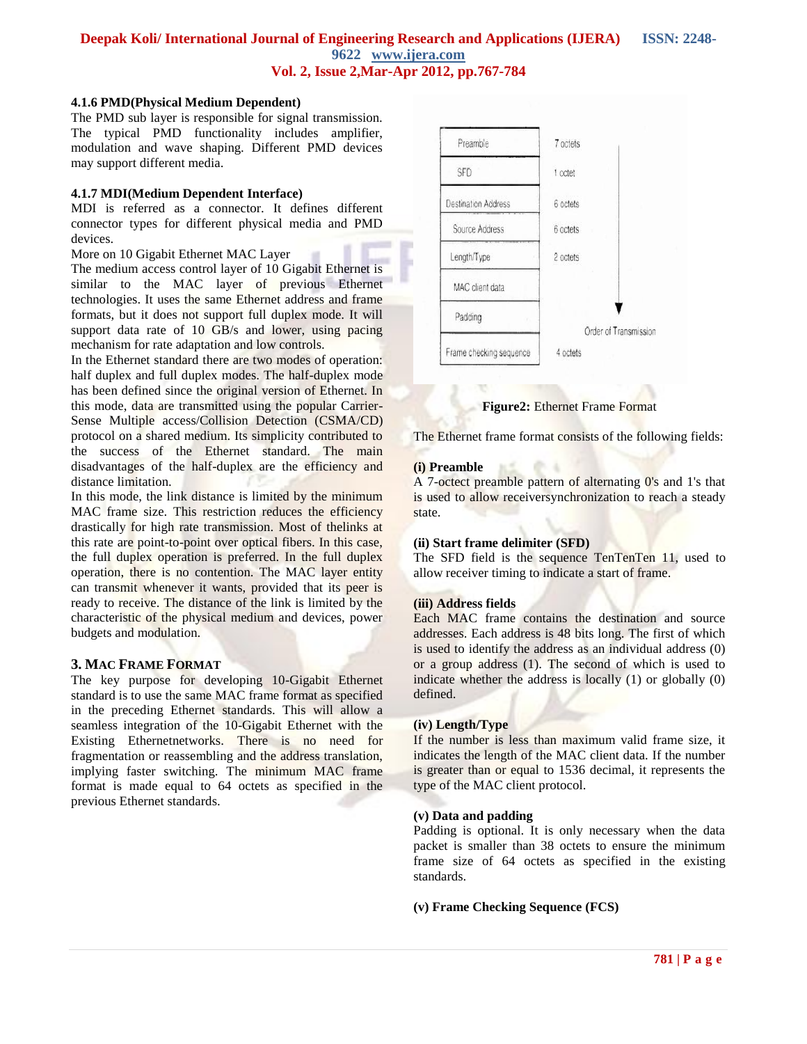## **4.1.6 PMD(Physical Medium Dependent)**

The PMD sub layer is responsible for signal transmission. The typical PMD functionality includes amplifier, modulation and wave shaping. Different PMD devices may support different media.

#### **4.1.7 MDI(Medium Dependent Interface)**

MDI is referred as a connector. It defines different connector types for different physical media and PMD devices.

More on 10 Gigabit Ethernet MAC Layer

The medium access control layer of 10 Gigabit Ethernet is similar to the MAC layer of previous Ethernet technologies. It uses the same Ethernet address and frame formats, but it does not support full duplex mode. It will support data rate of 10 GB/s and lower, using pacing mechanism for rate adaptation and low controls.

In the Ethernet standard there are two modes of operation: half duplex and full duplex modes. The half-duplex mode has been defined since the original version of Ethernet. In this mode, data are transmitted using the popular Carrier-Sense Multiple access/Collision Detection (CSMA/CD) protocol on a shared medium. Its simplicity contributed to the success of the Ethernet standard. The main disadvantages of the half-duplex are the efficiency and distance limitation.

In this mode, the link distance is limited by the minimum MAC frame size. This restriction reduces the efficiency drastically for high rate transmission. Most of thelinks at this rate are point-to-point over optical fibers. In this case, the full duplex operation is preferred. In the full duplex operation, there is no contention. The MAC layer entity can transmit whenever it wants, provided that its peer is ready to receive. The distance of the link is limited by the characteristic of the physical medium and devices, power budgets and modulation.

#### **3. MAC FRAME FORMAT**

The key purpose for developing 10-Gigabit Ethernet standard is to use the same MAC frame format as specified in the preceding Ethernet standards. This will allow a seamless integration of the 10-Gigabit Ethernet with the Existing Ethernetnetworks. There is no need for fragmentation or reassembling and the address translation, implying faster switching. The minimum MAC frame format is made equal to 64 octets as specified in the previous Ethernet standards.



**Figure2:** Ethernet Frame Format

The Ethernet frame format consists of the following fields:

#### **(i) Preamble**

A 7-octect preamble pattern of alternating 0's and 1's that is used to allow receiversynchronization to reach a steady state.

#### **(ii) Start frame delimiter (SFD)**

The SFD field is the sequence TenTenTen 11, used to allow receiver timing to indicate a start of frame.

#### **(iii) Address fields**

Each MAC frame contains the destination and source addresses. Each address is 48 bits long. The first of which is used to identify the address as an individual address (0) or a group address (1). The second of which is used to indicate whether the address is locally (1) or globally (0) defined.

#### **(iv) Length/Type**

If the number is less than maximum valid frame size, it indicates the length of the MAC client data. If the number is greater than or equal to 1536 decimal, it represents the type of the MAC client protocol.

#### **(v) Data and padding**

Padding is optional. It is only necessary when the data packet is smaller than 38 octets to ensure the minimum frame size of 64 octets as specified in the existing standards.

#### **(v) Frame Checking Sequence (FCS)**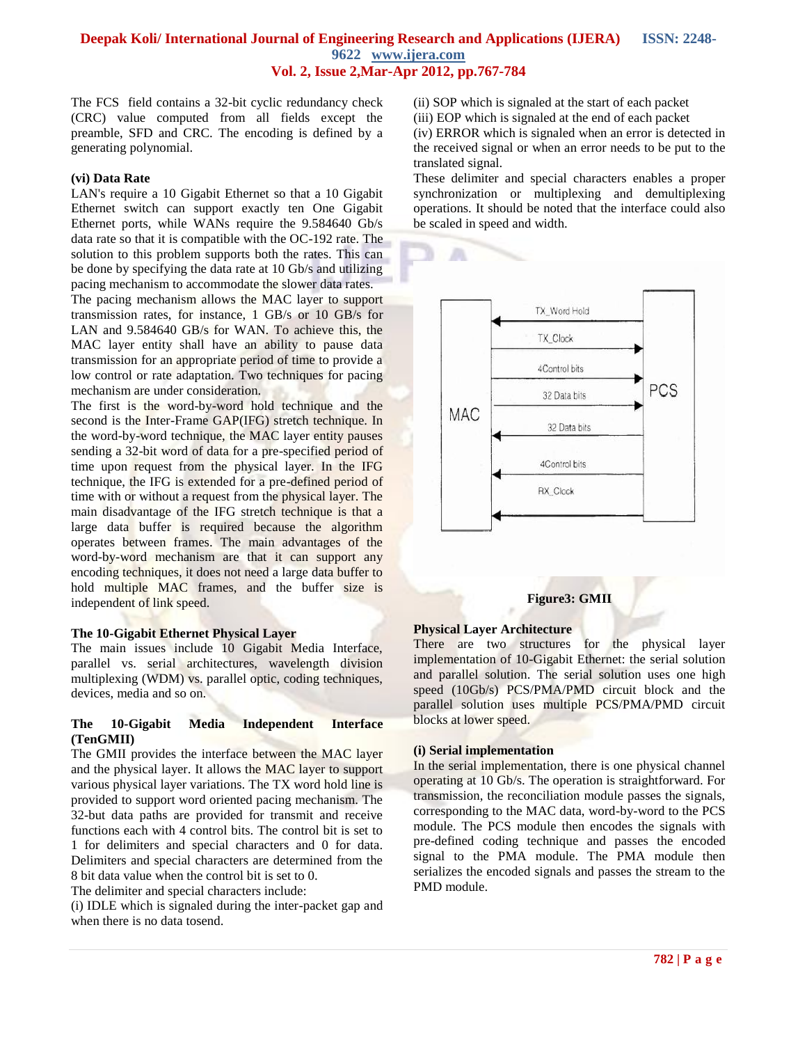The FCS field contains a 32-bit cyclic redundancy check (CRC) value computed from all fields except the preamble, SFD and CRC. The encoding is defined by a generating polynomial.

## **(vi) Data Rate**

LAN's require a 10 Gigabit Ethernet so that a 10 Gigabit Ethernet switch can support exactly ten One Gigabit Ethernet ports, while WANs require the 9.584640 Gb/s data rate so that it is compatible with the OC-192 rate. The solution to this problem supports both the rates. This can be done by specifying the data rate at 10 Gb/s and utilizing pacing mechanism to accommodate the slower data rates.

The pacing mechanism allows the MAC layer to support transmission rates, for instance, 1 GB/s or 10 GB/s for LAN and 9.584640 GB/s for WAN. To achieve this, the MAC layer entity shall have an ability to pause data transmission for an appropriate period of time to provide a low control or rate adaptation. Two techniques for pacing mechanism are under consideration.

The first is the word-by-word hold technique and the second is the Inter-Frame GAP(IFG) stretch technique. In the word-by-word technique, the MAC layer entity pauses sending a 32-bit word of data for a pre-specified period of time upon request from the physical layer. In the IFG technique, the IFG is extended for a pre-defined period of time with or without a request from the physical layer. The main disadvantage of the IFG stretch technique is that a large data buffer is required because the algorithm operates between frames. The main advantages of the word-by-word mechanism are that it can support any encoding techniques, it does not need a large data buffer to hold multiple MAC frames, and the buffer size is independent of link speed.

#### **The 10-Gigabit Ethernet Physical Layer**

The main issues include 10 Gigabit Media Interface, parallel vs. serial architectures, wavelength division multiplexing (WDM) vs. parallel optic, coding techniques, devices, media and so on.

# **The 10-Gigabit Media Independent Interface (TenGMII)**

The GMII provides the interface between the MAC layer and the physical layer. It allows the MAC layer to support various physical layer variations. The TX word hold line is provided to support word oriented pacing mechanism. The 32-but data paths are provided for transmit and receive functions each with 4 control bits. The control bit is set to 1 for delimiters and special characters and 0 for data. Delimiters and special characters are determined from the 8 bit data value when the control bit is set to 0.

The delimiter and special characters include:

(i) IDLE which is signaled during the inter-packet gap and when there is no data tosend.

(ii) SOP which is signaled at the start of each packet (iii) EOP which is signaled at the end of each packet (iv) ERROR which is signaled when an error is detected in the received signal or when an error needs to be put to the translated signal.

These delimiter and special characters enables a proper synchronization or multiplexing and demultiplexing operations. It should be noted that the interface could also be scaled in speed and width.



# **Figure3: GMII**

#### **Physical Layer Architecture**

There are two structures for the physical layer implementation of 10-Gigabit Ethernet: the serial solution and parallel solution. The serial solution uses one high speed (10Gb/s) PCS/PMA/PMD circuit block and the parallel solution uses multiple PCS/PMA/PMD circuit blocks at lower speed.

#### **(i) Serial implementation**

In the serial implementation, there is one physical channel operating at 10 Gb/s. The operation is straightforward. For transmission, the reconciliation module passes the signals, corresponding to the MAC data, word-by-word to the PCS module. The PCS module then encodes the signals with pre-defined coding technique and passes the encoded signal to the PMA module. The PMA module then serializes the encoded signals and passes the stream to the PMD module.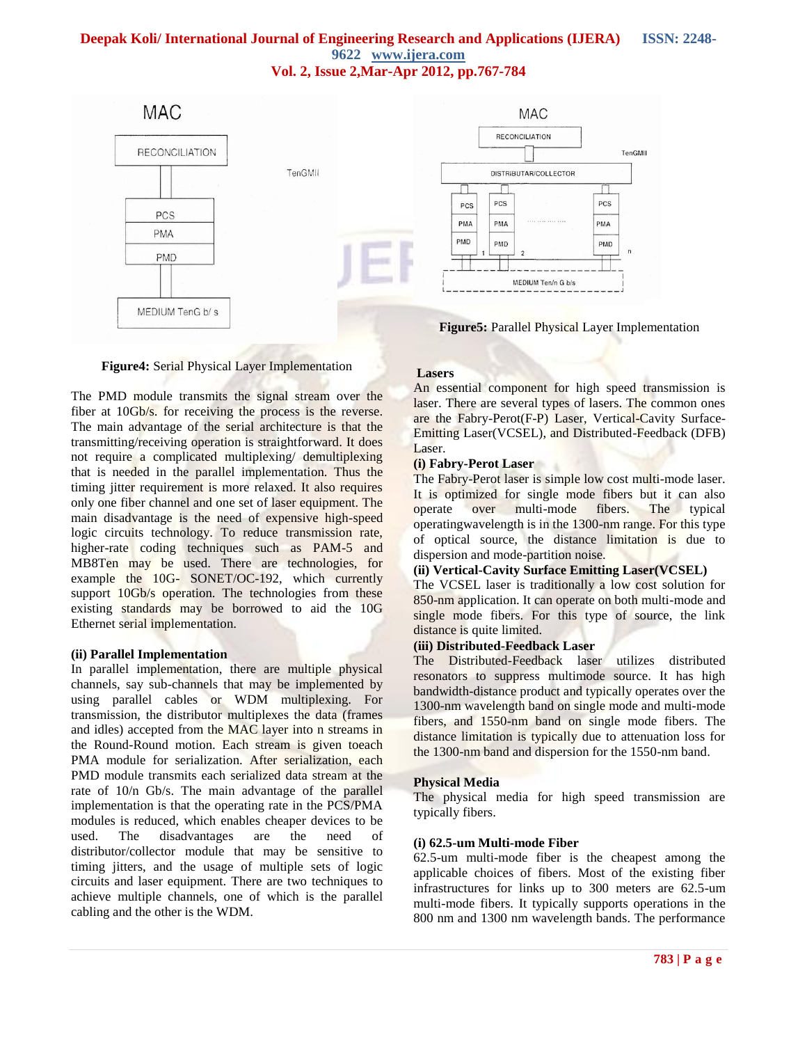

#### **Figure4:** Serial Physical Layer Implementation

The PMD module transmits the signal stream over the fiber at 10Gb/s. for receiving the process is the reverse. The main advantage of the serial architecture is that the transmitting/receiving operation is straightforward. It does not require a complicated multiplexing/ demultiplexing that is needed in the parallel implementation. Thus the timing jitter requirement is more relaxed. It also requires only one fiber channel and one set of laser equipment. The main disadvantage is the need of expensive high-speed logic circuits technology. To reduce transmission rate, higher-rate coding techniques such as PAM-5 and MB8Ten may be used. There are technologies, for example the 10G- SONET/OC-192, which currently support 10Gb/s operation. The technologies from these existing standards may be borrowed to aid the 10G Ethernet serial implementation.

#### **(ii) Parallel Implementation**

In parallel implementation, there are multiple physical channels, say sub-channels that may be implemented by using parallel cables or WDM multiplexing. For transmission, the distributor multiplexes the data (frames and idles) accepted from the MAC layer into n streams in the Round-Round motion. Each stream is given toeach PMA module for serialization. After serialization, each PMD module transmits each serialized data stream at the rate of 10/n Gb/s. The main advantage of the parallel implementation is that the operating rate in the PCS/PMA modules is reduced, which enables cheaper devices to be used. The disadvantages are the need of distributor/collector module that may be sensitive to timing jitters, and the usage of multiple sets of logic circuits and laser equipment. There are two techniques to achieve multiple channels, one of which is the parallel cabling and the other is the WDM.

#### **Lasers**

An essential component for high speed transmission is laser. There are several types of lasers. The common ones are the Fabry-Perot(F-P) Laser, Vertical-Cavity Surface-Emitting Laser(VCSEL), and Distributed-Feedback (DFB) Laser.

#### **(i) Fabry-Perot Laser**

The Fabry-Perot laser is simple low cost multi-mode laser. It is optimized for single mode fibers but it can also operate over multi-mode fibers. The typical operatingwavelength is in the 1300-nm range. For this type of optical source, the distance limitation is due to dispersion and mode-partition noise.

### **(ii) Vertical-Cavity Surface Emitting Laser(VCSEL)**

The VCSEL laser is traditionally a low cost solution for 850-nm application. It can operate on both multi-mode and single mode fibers. For this type of source, the link distance is quite limited.

## **(iii) Distributed-Feedback Laser**

The Distributed-Feedback laser utilizes distributed resonators to suppress multimode source. It has high bandwidth-distance product and typically operates over the 1300-nm wavelength band on single mode and multi-mode fibers, and 1550-nm band on single mode fibers. The distance limitation is typically due to attenuation loss for the 1300-nm band and dispersion for the 1550-nm band.

#### **Physical Media**

The physical media for high speed transmission are typically fibers.

#### **(i) 62.5-um Multi-mode Fiber**

62.5-um multi-mode fiber is the cheapest among the applicable choices of fibers. Most of the existing fiber infrastructures for links up to 300 meters are 62.5-um multi-mode fibers. It typically supports operations in the 800 nm and 1300 nm wavelength bands. The performance